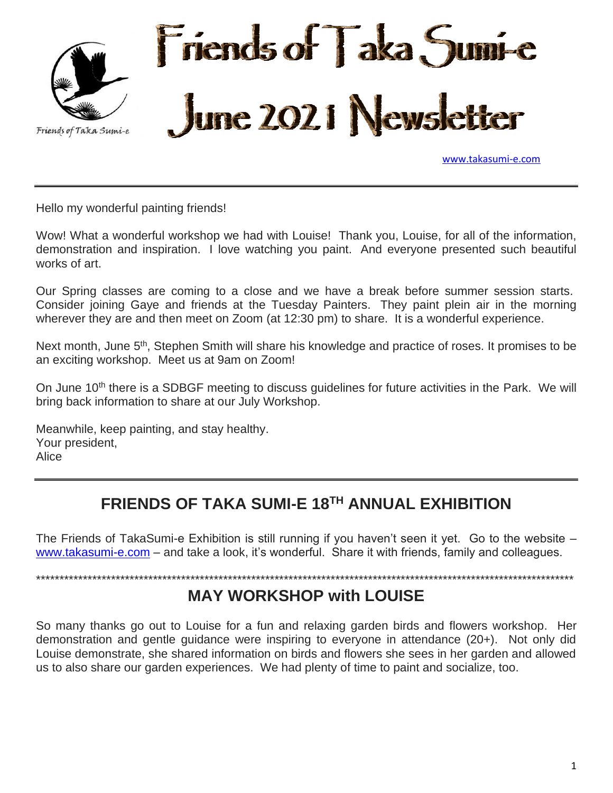

[www.takasumi-e.com](http://www.takasumi-e.com/)

Hello my wonderful painting friends!

Wow! What a wonderful workshop we had with Louise! Thank you, Louise, for all of the information, demonstration and inspiration. I love watching you paint. And everyone presented such beautiful works of art.

Our Spring classes are coming to a close and we have a break before summer session starts. Consider joining Gaye and friends at the Tuesday Painters. They paint plein air in the morning wherever they are and then meet on Zoom (at 12:30 pm) to share. It is a wonderful experience.

Next month, June 5<sup>th</sup>, Stephen Smith will share his knowledge and practice of roses. It promises to be an exciting workshop. Meet us at 9am on Zoom!

On June 10<sup>th</sup> there is a SDBGF meeting to discuss guidelines for future activities in the Park. We will bring back information to share at our July Workshop.

Meanwhile, keep painting, and stay healthy. Your president, Alice

# **FRIENDS OF TAKA SUMI-E 18TH ANNUAL EXHIBITION**

The Friends of TakaSumi-e Exhibition is still running if you haven't seen it yet. Go to the website – [www.takasumi-e.com](http://www.takasumi-e.com/) – and take a look, it's wonderful. Share it with friends, family and colleagues.

\*\*\*\*\*\*\*\*\*\*\*\*\*\*\*\*\*\*\*\*\*\*\*\*\*\*\*\*\*\*\*\*\*\*\*\*\*\*\*\*\*\*\*\*\*\*\*\*\*\*\*\*\*\*\*\*\*\*\*\*\*\*\*\*\*\*\*\*\*\*\*\*\*\*\*\*\*\*\*\*\*\*\*\*\*\*\*\*\*\*\*\*\*\*\*\*\*\*\*\*\*\*\*\*\*\*\*\*\*\*\*\*\*\*\*

#### **MAY WORKSHOP with LOUISE**

So many thanks go out to Louise for a fun and relaxing garden birds and flowers workshop. Her demonstration and gentle guidance were inspiring to everyone in attendance (20+). Not only did Louise demonstrate, she shared information on birds and flowers she sees in her garden and allowed us to also share our garden experiences. We had plenty of time to paint and socialize, too.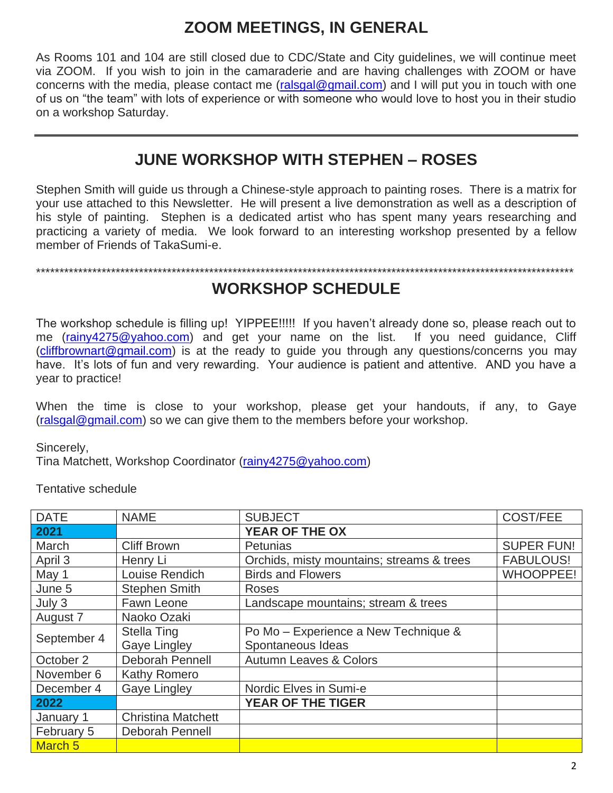# **ZOOM MEETINGS, IN GENERAL**

As Rooms 101 and 104 are still closed due to CDC/State and City guidelines, we will continue meet via ZOOM. If you wish to join in the camaraderie and are having challenges with ZOOM or have concerns with the media, please contact me [\(ralsgal@gmail.com\)](mailto:ralsgal@gmail.com) and I will put you in touch with one of us on "the team" with lots of experience or with someone who would love to host you in their studio on a workshop Saturday.

### **JUNE WORKSHOP WITH STEPHEN – ROSES**

Stephen Smith will guide us through a Chinese-style approach to painting roses. There is a matrix for your use attached to this Newsletter. He will present a live demonstration as well as a description of his style of painting. Stephen is a dedicated artist who has spent many years researching and practicing a variety of media. We look forward to an interesting workshop presented by a fellow member of Friends of TakaSumi-e.

\*\*\*\*\*\*\*\*\*\*\*\*\*\*\*\*\*\*\*\*\*\*\*\*\*\*\*\*\*\*\*\*\*\*\*\*\*\*\*\*\*\*\*\*\*\*\*\*\*\*\*\*\*\*\*\*\*\*\*\*\*\*\*\*\*\*\*\*\*\*\*\*\*\*\*\*\*\*\*\*\*\*\*\*\*\*\*\*\*\*\*\*\*\*\*\*\*\*\*\*\*\*\*\*\*\*\*\*\*\*\*\*\*\*\*

#### **WORKSHOP SCHEDULE**

The workshop schedule is filling up! YIPPEE!!!!! If you haven't already done so, please reach out to me [\(rainy4275@yahoo.com\)](mailto:rainy4275@yahoo.com) and get your name on the list. If you need guidance, Cliff [\(cliffbrownart@gmail.com\)](mailto:cliffbrownart@gmail.com) is at the ready to guide you through any questions/concerns you may have. It's lots of fun and very rewarding. Your audience is patient and attentive. AND you have a year to practice!

When the time is close to your workshop, please get your handouts, if any, to Gaye [\(ralsgal@gmail.com\)](mailto:ralsgal@gmail.com) so we can give them to the members before your workshop.

Sincerely,

Tina Matchett, Workshop Coordinator [\(rainy4275@yahoo.com\)](mailto:rainy4275@yahoo.com)

Tentative schedule

| <b>DATE</b>        | <b>NAME</b>               | <b>SUBJECT</b>                            | <b>COST/FEE</b>   |
|--------------------|---------------------------|-------------------------------------------|-------------------|
| 2021               |                           | YEAR OF THE OX                            |                   |
| March              | <b>Cliff Brown</b>        | <b>Petunias</b>                           | <b>SUPER FUN!</b> |
| April 3            | Henry Li                  | Orchids, misty mountains; streams & trees | <b>FABULOUS!</b>  |
| May 1              | Louise Rendich            | <b>Birds and Flowers</b>                  | <b>WHOOPPEE!</b>  |
| June 5             | <b>Stephen Smith</b>      | Roses                                     |                   |
| July 3             | Fawn Leone                | Landscape mountains; stream & trees       |                   |
| August 7           | Naoko Ozaki               |                                           |                   |
| September 4        | <b>Stella Ting</b>        | Po Mo - Experience a New Technique &      |                   |
|                    | <b>Gaye Lingley</b>       | Spontaneous Ideas                         |                   |
| October 2          | <b>Deborah Pennell</b>    | <b>Autumn Leaves &amp; Colors</b>         |                   |
| November 6         | Kathy Romero              |                                           |                   |
| December 4         | Gaye Lingley              | Nordic Elves in Sumi-e                    |                   |
| 2022               |                           | <b>YEAR OF THE TIGER</b>                  |                   |
| January 1          | <b>Christina Matchett</b> |                                           |                   |
| February 5         | Deborah Pennell           |                                           |                   |
| March <sub>5</sub> |                           |                                           |                   |